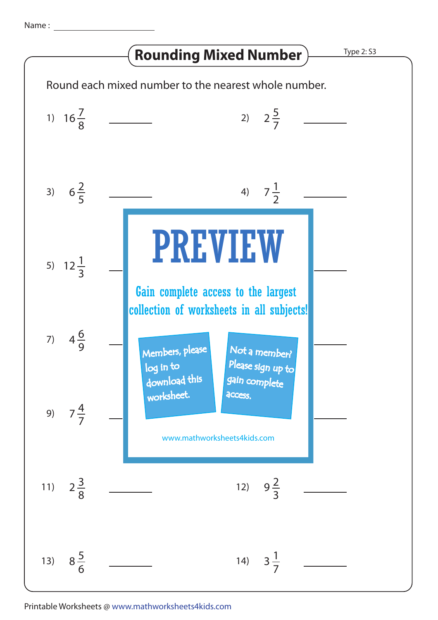## **Rounding Mixed Number > Type 2: S3**

Round each mixed number to the nearest whole number. 1)  $16\frac{7}{6}$  $16\frac{7}{9}$  2)  $2\frac{5}{7}$ 2 8 7 3)  $6\frac{2}{5}$  $6\frac{2}{5}$  4)  $7\frac{1}{3}$ 7 5 2  $\begin{array}{cc} \textbf{1}_{22} & \end{array}$  PREVIEW 5)  $12\frac{1}{2}$ 1 3 Gain complete access to the largest collection of worksheets in all subjects!7)  $4\frac{6}{3}$ <sup>4</sup> 8) <sup>3</sup> 6 9 Members, please  $\ddot{\phantom{1}}$ Not a member? Please sign up to log in to download this gain complete worksheet. **access** 9)  $7\frac{4}{7}$  $7\frac{4}{7}$   $\frac{1}{7}$   $\frac{4}{7}$   $\frac{1}{7}$   $\frac{1}{7}$   $\frac{1}{7}$   $\frac{1}{7}$   $\frac{1}{7}$   $\frac{1}{7}$   $\frac{1}{7}$   $\frac{1}{7}$   $\frac{1}{7}$   $\frac{1}{7}$   $\frac{1}{7}$   $\frac{1}{7}$   $\frac{1}{7}$   $\frac{1}{7}$   $\frac{1}{7}$   $\frac{1}{7}$   $\frac{1}{7}$   $\frac{1}{7}$   $\frac{1}{7}$  14<br>14 March 11 March 11 March 11 March 11 March 11 March 11 March 11 March 11 March 11 March 11 March 11 March<br>14 March 11 March 11 March 11 March 11 March 11 March 11 March 11 March 11 March 11 March 11 March 11 March 1 7 9 www.mathworksheets4kids.com 11)  $2\frac{3}{2}$  $2\frac{3}{2}$  12)  $9\frac{2}{3}$ 9 8 3 13)  $8\frac{5}{6}$ 8 14)<br>1911 - John Barnett, politik eta politik eta politik eta politik eta politik eta politik eta politik eta<br>1911 - John Barnett, politik eta politik eta politik eta politik eta politik eta politik eta politik eta poli 3 6 7

Printable Worksheets @ www.mathworksheets4kids.com